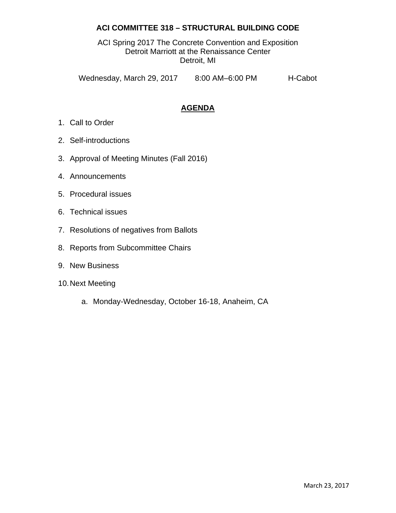# **ACI COMMITTEE 318 – STRUCTURAL BUILDING CODE**

ACI Spring 2017 The Concrete Convention and Exposition Detroit Marriott at the Renaissance Center Detroit, MI

Wednesday, March 29, 2017 8:00 AM-6:00 PM H-Cabot

# **AGENDA**

- 1. Call to Order
- 2. Self-introductions
- 3. Approval of Meeting Minutes (Fall 2016)
- 4. Announcements
- 5. Procedural issues
- 6. Technical issues
- 7. Resolutions of negatives from Ballots
- 8. Reports from Subcommittee Chairs
- 9. New Business
- 10. Next Meeting
	- a. Monday-Wednesday, October 16-18, Anaheim, CA